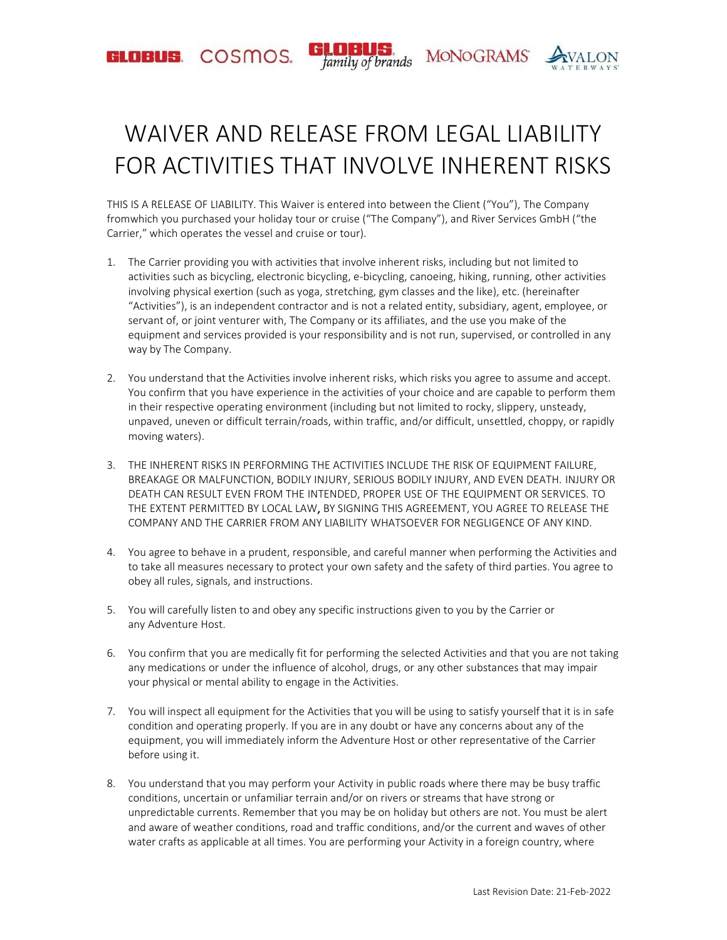GLOBUS. COSMOS.

**MONOGRAMS** family of brands



## WAIVER AND RELEASE FROM LEGAL LIABILITY FOR ACTIVITIES THAT INVOLVE INHERENT RISKS

THIS IS A RELEASE OF LIABILITY. This Waiver is entered into between the Client ("You"), The Company fromwhich you purchased your holiday tour or cruise ("The Company"), and River Services GmbH ("the Carrier," which operates the vessel and cruise or tour).

- 1. The Carrier providing you with activities that involve inherent risks, including but not limited to activities such as bicycling, electronic bicycling, e-bicycling, canoeing, hiking, running, other activities involving physical exertion (such as yoga, stretching, gym classes and the like), etc. (hereinafter "Activities"), is an independent contractor and is not a related entity, subsidiary, agent, employee, or servant of, or joint venturer with, The Company or its affiliates, and the use you make of the equipment and services provided is your responsibility and is not run, supervised, or controlled in any way by The Company.
- 2. You understand that the Activities involve inherent risks, which risks you agree to assume and accept. You confirm that you have experience in the activities of your choice and are capable to perform them in their respective operating environment (including but not limited to rocky, slippery, unsteady, unpaved, uneven or difficult terrain/roads, within traffic, and/or difficult, unsettled, choppy, or rapidly moving waters).
- 3. THE INHERENT RISKS IN PERFORMING THE ACTIVITIES INCLUDE THE RISK OF EQUIPMENT FAILURE, BREAKAGE OR MALFUNCTION, BODILY INJURY, SERIOUS BODILY INJURY, AND EVEN DEATH. INJURY OR DEATH CAN RESULT EVEN FROM THE INTENDED, PROPER USE OF THE EQUIPMENT OR SERVICES. TO THE EXTENT PERMITTED BY LOCAL LAW, BY SIGNING THIS AGREEMENT, YOU AGREE TO RELEASE THE COMPANY AND THE CARRIER FROM ANY LIABILITY WHATSOEVER FOR NEGLIGENCE OF ANY KIND.
- 4. You agree to behave in a prudent, responsible, and careful manner when performing the Activities and to take all measures necessary to protect your own safety and the safety of third parties. You agree to obey all rules, signals, and instructions.
- 5. You will carefully listen to and obey any specific instructions given to you by the Carrier or any Adventure Host.
- 6. You confirm that you are medically fit for performing the selected Activities and that you are not taking any medications or under the influence of alcohol, drugs, or any other substances that may impair your physical or mental ability to engage in the Activities.
- 7. You will inspect all equipment for the Activities that you will be using to satisfy yourself that it is in safe condition and operating properly. If you are in any doubt or have any concerns about any of the equipment, you will immediately inform the Adventure Host or other representative of the Carrier before using it.
- 8. You understand that you may perform your Activity in public roads where there may be busy traffic conditions, uncertain or unfamiliar terrain and/or on rivers or streams that have strong or unpredictable currents. Remember that you may be on holiday but others are not. You must be alert and aware of weather conditions, road and traffic conditions, and/or the current and waves of other water crafts as applicable at all times. You are performing your Activity in a foreign country, where